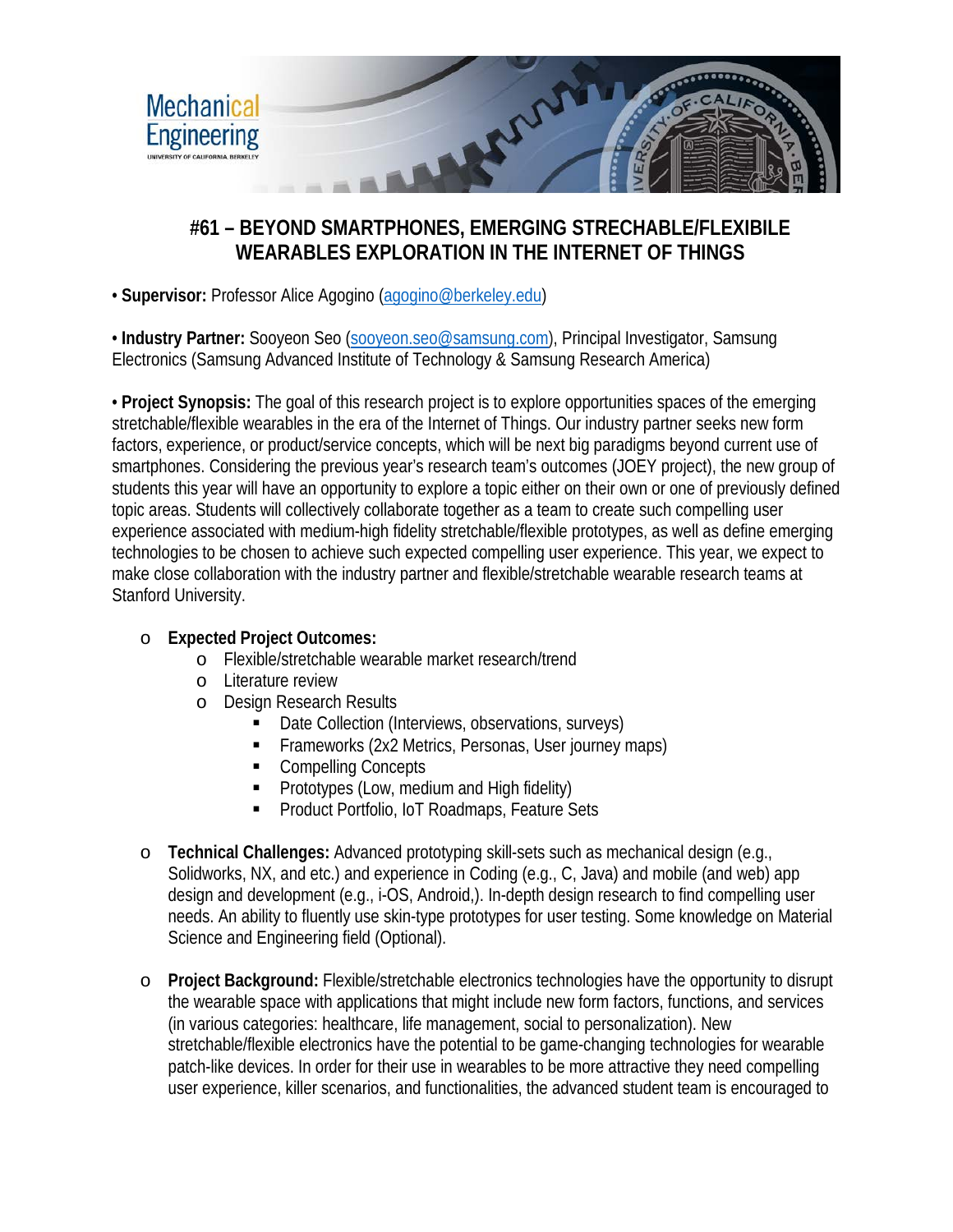

## **#61 – BEYOND SMARTPHONES, EMERGING STRECHABLE/FLEXIBILE WEARABLES EXPLORATION IN THE INTERNET OF THINGS**

• **Supervisor:** Professor Alice Agogino [\(agogino@berkeley.edu\)](mailto:agogino@berkeley.edu)

• Industry Partner: Sooyeon Seo [\(sooyeon.seo@samsung.com\)](mailto:sooyeon.seo@samsung.com), Principal Investigator, Samsung Electronics (Samsung Advanced Institute of Technology & Samsung Research America)

• **Project Synopsis:** The goal of this research project is to explore opportunities spaces of the emerging stretchable/flexible wearables in the era of the Internet of Things. Our industry partner seeks new form factors, experience, or product/service concepts, which will be next big paradigms beyond current use of smartphones. Considering the previous year's research team's outcomes (JOEY project), the new group of students this year will have an opportunity to explore a topic either on their own or one of previously defined topic areas. Students will collectively collaborate together as a team to create such compelling user experience associated with medium-high fidelity stretchable/flexible prototypes, as well as define emerging technologies to be chosen to achieve such expected compelling user experience. This year, we expect to make close collaboration with the industry partner and flexible/stretchable wearable research teams at Stanford University.

## o **Expected Project Outcomes:**

- o Flexible/stretchable wearable market research/trend
- o Literature review
- o Design Research Results
	- Date Collection (Interviews, observations, surveys)
	- Frameworks (2x2 Metrics, Personas, User journey maps)
	- Compelling Concepts
	- **Prototypes (Low, medium and High fidelity)**
	- Product Portfolio, IoT Roadmaps, Feature Sets
- o **Technical Challenges:** Advanced prototyping skill-sets such as mechanical design (e.g., Solidworks, NX, and etc.) and experience in Coding (e.g., C, Java) and mobile (and web) app design and development (e.g., i-OS, Android,). In-depth design research to find compelling user needs. An ability to fluently use skin-type prototypes for user testing. Some knowledge on Material Science and Engineering field (Optional).
- o **Project Background:** Flexible/stretchable electronics technologies have the opportunity to disrupt the wearable space with applications that might include new form factors, functions, and services (in various categories: healthcare, life management, social to personalization). New stretchable/flexible electronics have the potential to be game-changing technologies for wearable patch-like devices. In order for their use in wearables to be more attractive they need compelling user experience, killer scenarios, and functionalities, the advanced student team is encouraged to